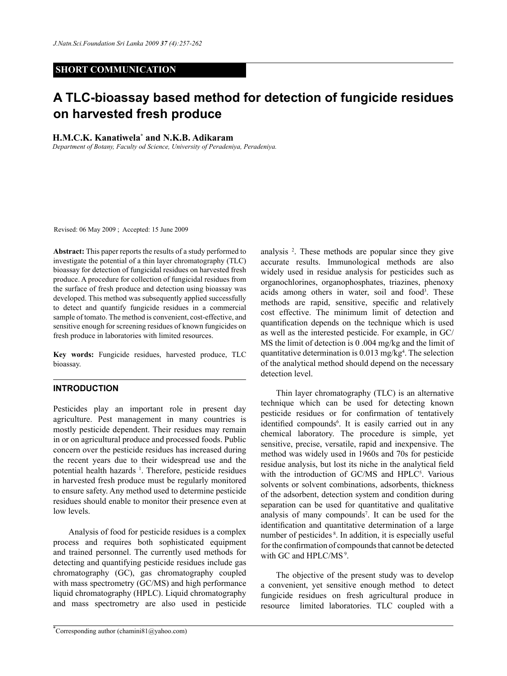## **SHORT COMMUNICATION**

# **A TLC-bioassay based method for detection of fungicide residues on harvested fresh produce**

**H.M.C.K. Kanatiwela\* and N.K.B. Adikaram**

*Department of Botany, Faculty od Science, University of Peradeniya, Peradeniya.*

Revised: 06 May 2009 ; Accepted: 15 June 2009

**Abstract:** This paper reports the results of a study performed to investigate the potential of a thin layer chromatography (TLC) bioassay for detection of fungicidal residues on harvested fresh produce. A procedure for collection of fungicidal residues from the surface of fresh produce and detection using bioassay was developed. This method was subsequently applied successfully to detect and quantify fungicide residues in a commercial sample of tomato. The method is convenient, cost-effective, and sensitive enough for screening residues of known fungicides on fresh produce in laboratories with limited resources.

**Key words:** Fungicide residues, harvested produce, TLC bioassay.

#### **INTRODUCTION**

Pesticides play an important role in present day agriculture. Pest management in many countries is mostly pesticide dependent. Their residues may remain in or on agricultural produce and processed foods. Public concern over the pesticide residues has increased during the recent years due to their widespread use and the potential health hazards <sup>1</sup>. Therefore, pesticide residues in harvested fresh produce must be regularly monitored to ensure safety. Any method used to determine pesticide residues should enable to monitor their presence even at low levels.

Analysis of food for pesticide residues is a complex process and requires both sophisticated equipment and trained personnel. The currently used methods for detecting and quantifying pesticide residues include gas chromatography (GC), gas chromatography coupled with mass spectrometry (GC/MS) and high performance liquid chromatography (HPLC). Liquid chromatography and mass spectrometry are also used in pesticide

analysis 2 . These methods are popular since they give accurate results. Immunological methods are also widely used in residue analysis for pesticides such as organochlorines, organophosphates, triazines, phenoxy acids among others in water, soil and food<sup>3</sup>. These methods are rapid, sensitive, specific and relatively cost effective. The minimum limit of detection and quantification depends on the technique which is used as well as the interested pesticide. For example, in GC/ MS the limit of detection is 0 .004 mg/kg and the limit of quantitative determination is 0.013 mg/kg<sup>4</sup>. The selection of the analytical method should depend on the necessary detection level.

Thin layer chromatography (TLC) is an alternative technique which can be used for detecting known pesticide residues or for confirmation of tentatively identified compounds<sup>6</sup>. It is easily carried out in any chemical laboratory. The procedure is simple, yet sensitive, precise, versatile, rapid and inexpensive. The method was widely used in 1960s and 70s for pesticide residue analysis, but lost its niche in the analytical field with the introduction of GC/MS and HPLC<sup>5</sup>. Various solvents or solvent combinations, adsorbents, thickness of the adsorbent, detection system and condition during separation can be used for quantitative and qualitative analysis of many compounds<sup>7</sup>. It can be used for the identification and quantitative determination of a large number of pesticides 8. In addition, it is especially useful for the confirmation of compounds that cannot be detected with GC and HPLC/MS<sup>9</sup>.

The objective of the present study was to develop a convenient, yet sensitive enough method to detect fungicide residues on fresh agricultural produce in resource limited laboratories. TLC coupled with a

<sup>\*</sup> Corresponding author (chamini81@yahoo.com)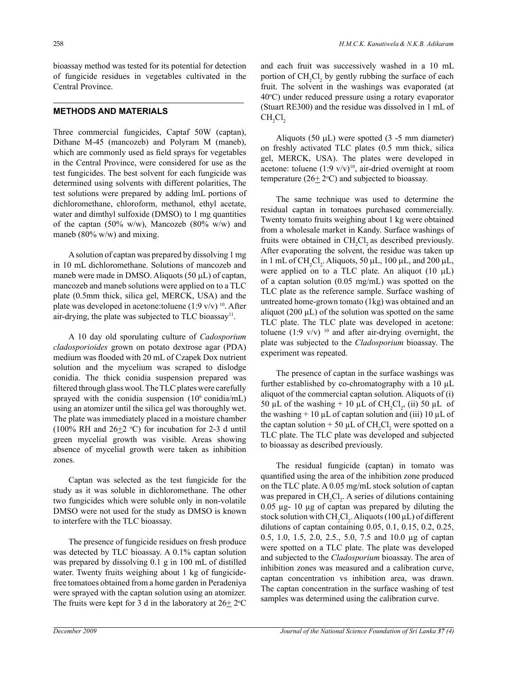bioassay method was tested for its potential for detection of fungicide residues in vegetables cultivated in the Central Province.

#### **Methods and Materials**

Three commercial fungicides, Captaf 50W (captan), Dithane M-45 (mancozeb) and Polyram M (maneb), which are commonly used as field sprays for vegetables in the Central Province, were considered for use as the test fungicides. The best solvent for each fungicide was determined using solvents with different polarities, The test solutions were prepared by adding lmL portions of dichloromethane, chloroform, methanol, ethyl acetate, water and dimthyl sulfoxide (DMSO) to 1 mg quantities of the captan (50% w/w), Mancozeb (80% w/w) and maneb (80% w/w) and mixing.

A solution of captan was prepared by dissolving 1 mg in 10 mL dichloromethane. Solutions of mancozeb and maneb were made in DMSO. Aliquots (50 µL) of captan, mancozeb and maneb solutions were applied on to a TLC plate (0.5mm thick, silica gel, MERCK, USA) and the plate was developed in acetone: toluene (1:9 v/v)  $^{10}$ . After air-drying, the plate was subjected to TLC bioassay<sup>11</sup>.

A 10 day old sporulating culture of *Cadosporium cladosporioides* grown on potato dextrose agar (PDA) medium was flooded with 20 mL of Czapek Dox nutrient solution and the mycelium was scraped to dislodge conidia. The thick conidia suspension prepared was filtered through glass wool. The TLC plates were carefully sprayed with the conidia suspension  $(10^6 \text{ conidian/}mL)$ using an atomizer until the silica gel was thoroughly wet. The plate was immediately placed in a moisture chamber (100% RH and  $26\pm2$  °C) for incubation for 2-3 d until green mycelial growth was visible. Areas showing absence of mycelial growth were taken as inhibition zones.

Captan was selected as the test fungicide for the study as it was soluble in dichloromethane. The other two fungicides which were soluble only in non-volatile DMSO were not used for the study as DMSO is known to interfere with the TLC bioassay.

The presence of fungicide residues on fresh produce was detected by TLC bioassay. A 0.1% captan solution was prepared by dissolving 0.1 g in 100 mL of distilled water. Twenty fruits weighing about 1 kg of fungicidefree tomatoes obtained from a home garden in Peradeniya were sprayed with the captan solution using an atomizer. The fruits were kept for 3 d in the laboratory at  $26 \pm 2^{\circ}$ C and each fruit was successively washed in a 10 mL portion of  $CH_2Cl_2$  by gently rubbing the surface of each fruit. The solvent in the washings was evaporated (at 40°C) under reduced pressure using a rotary evaporator (Stuart RE300) and the residue was dissolved in 1 mL of  $CH_2Cl_2$ 

Aliquots (50  $\mu$ L) were spotted (3 -5 mm diameter) on freshly activated TLC plates (0.5 mm thick, silica gel, MERCK, USA). The plates were developed in acetone: toluene  $(1:9 \text{ v/v})^{10}$ , air-dried overnight at room temperature  $(26 \pm 2$ <sup>o</sup>C) and subjected to bioassay.

The same technique was used to determine the residual captan in tomatoes purchased commercially. Twenty tomato fruits weighing about 1 kg were obtained from a wholesale market in Kandy. Surface washings of fruits were obtained in  $CH_2Cl_2$  as described previously. After evaporating the solvent, the residue was taken up in 1 mL of  $CH_2Cl_2$ . Aliquots, 50  $\mu$ L, 100  $\mu$ L, and 200  $\mu$ L, were applied on to a TLC plate. An aliquot  $(10 \mu L)$ of a captan solution (0.05 mg/mL) was spotted on the TLC plate as the reference sample. Surface washing of untreated home-grown tomato (1kg) was obtained and an aliquot (200  $\mu$ L) of the solution was spotted on the same TLC plate. The TLC plate was developed in acetone: toluene (1:9 v/v)  $10$  and after air-drying overnight, the plate was subjected to the *Cladosporium* bioassay. The experiment was repeated.

The presence of captan in the surface washings was further established by co-chromatography with a 10 µL aliquot of the commercial captan solution. Aliquots of (i) 50 µL of the washing + 10 µL of CH<sub>2</sub>Cl<sub>2</sub>, (ii) 50 µL of the washing  $+10 \mu L$  of captan solution and (iii) 10  $\mu L$  of the captan solution + 50  $\mu$ L of CH<sub>2</sub>Cl<sub>2</sub> were spotted on a TLC plate. The TLC plate was developed and subjected to bioassay as described previously.

The residual fungicide (captan) in tomato was quantified using the area of the inhibition zone produced on the TLC plate. A 0.05 mg/mL stock solution of captan was prepared in  $CH_2Cl_2$ . A series of dilutions containing 0.05 µg- 10 µg of captan was prepared by diluting the stock solution with  $CH_2Cl_2$ . Aliquots (100  $\mu$ L) of different dilutions of captan containing 0.05, 0.1, 0.15, 0.2, 0.25, 0.5, 1.0, 1.5, 2.0, 2.5., 5.0, 7.5 and 10.0 µg of captan were spotted on a TLC plate. The plate was developed and subjected to the *Cladosporium* bioassay. The area of inhibition zones was measured and a calibration curve, captan concentration vs inhibition area, was drawn. The captan concentration in the surface washing of test samples was determined using the calibration curve.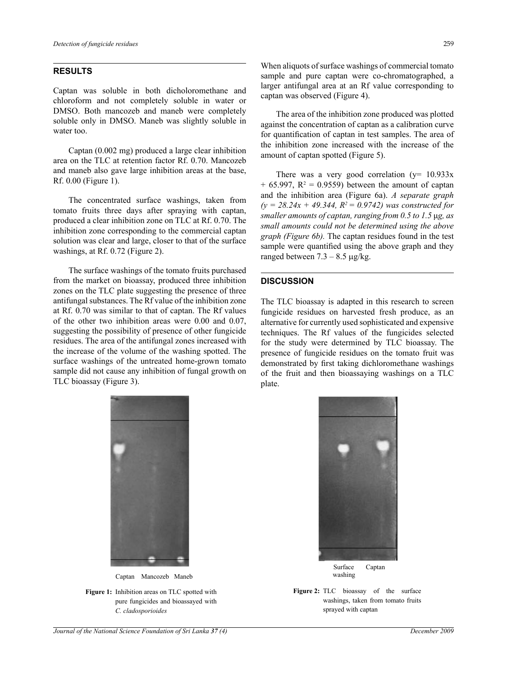#### **Results**

Captan was soluble in both dicholoromethane and chloroform and not completely soluble in water or DMSO. Both mancozeb and maneb were completely soluble only in DMSO. Maneb was slightly soluble in water too.

Captan (0.002 mg) produced a large clear inhibition area on the TLC at retention factor Rf. 0.70. Mancozeb and maneb also gave large inhibition areas at the base,<br> $P_f \ 0.00$  (Figure 1) Rf. 0.00 (Figure 1).

The concentrated surface washings, taken from tomato fruits three days after spraying with captan, produced a clear inhibition zone on TLC at Rf. 0.70. The inhibition zone corresponding to the commercial captan solution was clear and large, closer to that of the surface washings, at Rf. 0.72 (Figure 2).

The surface washings of the tomato fruits purchased from the market on bioassay, produced three inhibition zones on the TLC plate suggesting the presence of three antifungal substances. The Rf value of the inhibition zone at Rf. 0.70 was similar to that of captan. The Rf values of the other two inhibition areas were 0.00 and 0.07, suggesting the possibility of presence of other fungicide residues. The area of the antifungal zones increased with the increase of the volume of the washing spotted. The surface washings of the untreated home-grown tomato sample did not cause any inhibition of fungal growth on TLC bioassay (Figure 3).



Captan Mancozeb Maneb

**Figure 1:** Inhibition areas on TLC spotted with pure fungicides and bioassayed with  $\epsilon$ *C. cladosporioides*

When aliquots of surface washings of commercial tomato sample and pure captan were co-chromatographed, a larger antifungal area at an Rf value corresponding to captan was observed (Figure 4).

The area of the inhibition zone produced was plotted against the concentration of captan as a calibration curve for quantification of captan in test samples. The area of the inhibition zone increased with the increase of the amount of captan spotted (Figure 5).

There was a very good correlation  $(y=10.933x)$  $+$  65.997,  $R^2 = 0.9559$ ) between the amount of captan and the inhibition area (Figure 6a). *A separate graph*   $(y = 28.24x + 49.344, R^2 = 0.9742)$  was constructed for *smaller amounts of captan, ranging from 0.5 to 1.5* μ*g, as small amounts could not be determined using the above graph (Figure 6b).* The captan residues found in the test sample were quantified using the above graph and they ranged between  $7.3 - 8.5 \mu g/kg$ .

#### **Discussion**

The TLC bioassay is adapted in this research to screen fungicide residues on harvested fresh produce, as an alternative for currently used sophisticated and expensive techniques. The Rf values of the fungicides selected for the study were determined by TLC bioassay. The presence of fungicide residues on the tomato fruit was rown tomato demonstrated by first taking dichloromethane washings on TLC spotted with pure function  $\mathbb{E}[\mathbf{z}]$ of the fruit and then bioassaying washings on a TLC plate.



**Figure 2:** TLC bioassay of the surface with **Figure 2:** TLC bioassay of the surface washings, taken from tomato fruits sprayed with captan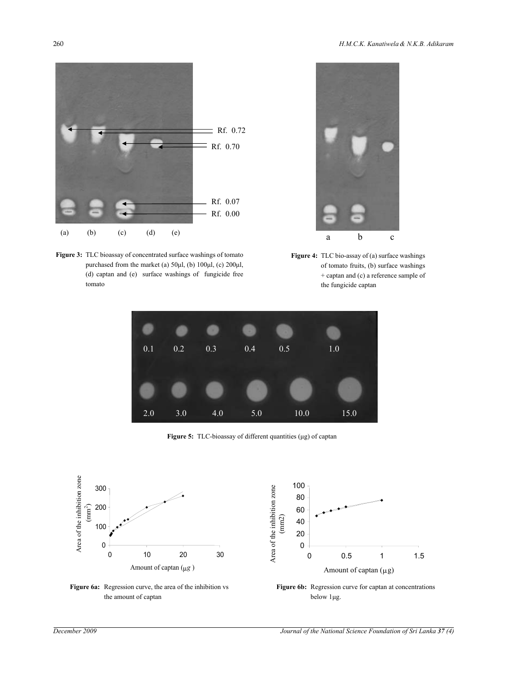

Figure 3: TLC bioassay of concentrated surface washings of tomato (d) captan and (e) surface washings of fungicide free  $\omega$  surface was  $\omega$ purchased from the market (a)  $50\mu$ , (b)  $100\mu$ , (c)  $200\mu$ , of tomato fruits, (b) surface was tomato  $\alpha$  reference sample of the fungicide captance sample of the fungicide captance sample of the fungicide captance  $\alpha$ 



 $0\mu$ l, (c)  $200\mu$ l,  $\mu$  of tomato fruits, (b) surface washings  $\mu$ the fungicide captan. **Figure 4:** TLC bio-assay of (a) surface washings + captan and (c) a reference sample of



**Figure 5:** TLC-bioassay of different quantities (μg) of captan



**Figure 6a:** Regression curve, the area of the inhibition vs the amount of captan Figure 6a. Regression curve, the area of the inhibition vs the amount of captan



Figure 6b: Regression curve for captan at concentrations below 1μg.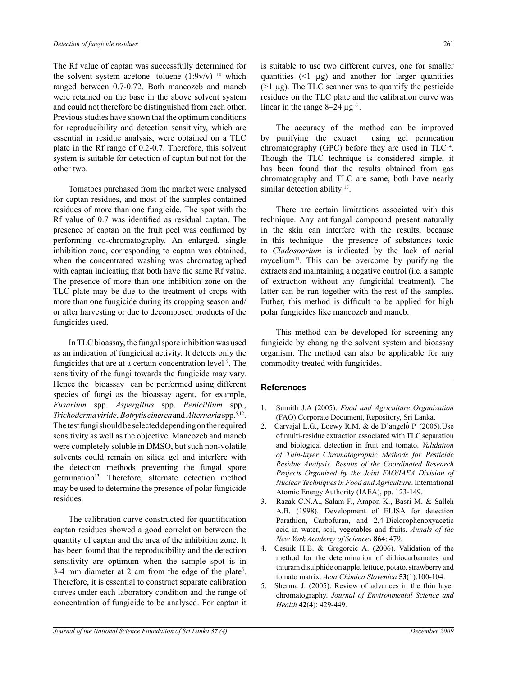The Rf value of captan was successfully determined for the solvent system acetone: toluene  $(1:9v/v)^{-10}$  which ranged between 0.7-0.72. Both mancozeb and maneb were retained on the base in the above solvent system and could not therefore be distinguished from each other. Previous studies have shown that the optimum conditions for reproducibility and detection sensitivity, which are essential in residue analysis, were obtained on a TLC plate in the Rf range of 0.2-0.7. Therefore, this solvent system is suitable for detection of captan but not for the other two.

Tomatoes purchased from the market were analysed for captan residues, and most of the samples contained residues of more than one fungicide. The spot with the Rf value of 0.7 was identified as residual captan. The presence of captan on the fruit peel was confirmed by performing co-chromatography. An enlarged, single inhibition zone, corresponding to captan was obtained, when the concentrated washing was chromatographed with captan indicating that both have the same Rf value. The presence of more than one inhibition zone on the TLC plate may be due to the treatment of crops with more than one fungicide during its cropping season and/ or after harvesting or due to decomposed products of the fungicides used.

In TLC bioassay, the fungal spore inhibition was used as an indication of fungicidal activity. It detects only the fungicides that are at a certain concentration level <sup>9</sup>. The sensitivity of the fungi towards the fungicide may vary. Hence the bioassay can be performed using different species of fungi as the bioassay agent, for example, *Fusarium* spp. *Aspergillus* spp. *Penicillium* spp., *Trichoderma viride*, *Botrytis cinerea* and *Alternaria* spp.5,12. The test fungi should be selected depending on the required sensitivity as well as the objective. Mancozeb and maneb were completely soluble in DMSO, but such non-volatile solvents could remain on silica gel and interfere with the detection methods preventing the fungal spore germination<sup>13</sup>. Therefore, alternate detection method may be used to determine the presence of polar fungicide residues.

The calibration curve constructed for quantification captan residues showed a good correlation between the quantity of captan and the area of the inhibition zone. It has been found that the reproducibility and the detection sensitivity are optimum when the sample spot is in  $3-4$  mm diameter at 2 cm from the edge of the plate<sup>5</sup>. Therefore, it is essential to construct separate calibration curves under each laboratory condition and the range of concentration of fungicide to be analysed. For captan it

is suitable to use two different curves, one for smaller quantities  $(1 \mu g)$  and another for larger quantities ( $>1 \mu$ g). The TLC scanner was to quantify the pesticide residues on the TLC plate and the calibration curve was linear in the range  $8-24 \mu g^6$ .

The accuracy of the method can be improved by purifying the extract using gel permeation chromatography (GPC) before they are used in TLC14. Though the TLC technique is considered simple, it has been found that the results obtained from gas chromatography and TLC are same, both have nearly similar detection ability <sup>15</sup>.

There are certain limitations associated with this technique. Any antifungal compound present naturally in the skin can interfere with the results, because in this technique the presence of substances toxic to *Cladosporium* is indicated by the lack of aerial mycelium<sup>11</sup>. This can be overcome by purifying the extracts and maintaining a negative control (i.e. a sample of extraction without any fungicidal treatment). The latter can be run together with the rest of the samples. Futher, this method is difficult to be applied for high polar fungicides like mancozeb and maneb.

This method can be developed for screening any fungicide by changing the solvent system and bioassay organism. The method can also be applicable for any commodity treated with fungicides.

### **References**

- 1. Sumith J.A (2005). *Food and Agriculture Organization*  (FAO) Corporate Document, Repository, Sri Lanka.
- 2. Carvajal L.G., Loewy R.M. & de D'angelo P. (2005). Use of multi-residue extraction associated with TLC separation and biological detection in fruit and tomato. *Validation of Thin-layer Chromatographic Methods for Pesticide Residue Analysis. Results of the Coordinated Research Projects Organized by the Joint FAO/IAEA Division of Nuclear Techniques in Food and Agriculture*. International Atomic Energy Authority (IAEA), pp. 123-149.
- 3. Razak C.N.A., Salam F., Ampon K., Basri M. & Salleh A.B. (1998). Development of ELISA for detection Parathion, Carbofuran, and 2,4-Diclorophenoxyacetic acid in water, soil, vegetables and fruits. *Annals of the New York Academy of Sciences* **864**: 479.
- 4. Cesnik H.B. & Gregorcic A. (2006). Validation of the method for the determination of dithiocarbamates and thiuram disulphide on apple, lettuce, potato, strawberry and tomato matrix. *Acta Chimica Slovenica* **53**(1):100-104.
- 5. Sherma J. (2005). Review of advances in the thin layer chromatography. *Journal of Environmental Science and Health* **42**(4): 429-449.